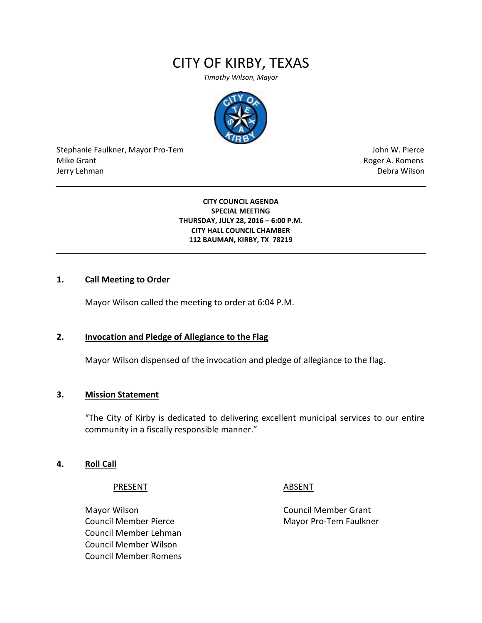# CITY OF KIRBY, TEXAS

*Timothy Wilson, Mayor*



Stephanie Faulkner, Mayor Pro-Tem John W. Pierce Mike Grant **Mike Grant** Roger A. Romens **Contract A. Romens Roger A. Romens** Jerry Lehman Debra Wilson

**CITY COUNCIL AGENDA SPECIAL MEETING THURSDAY, JULY 28, 2016 – 6:00 P.M. CITY HALL COUNCIL CHAMBER 112 BAUMAN, KIRBY, TX 78219**

# **1. Call Meeting to Order**

Mayor Wilson called the meeting to order at 6:04 P.M.

# **2. Invocation and Pledge of Allegiance to the Flag**

Mayor Wilson dispensed of the invocation and pledge of allegiance to the flag.

# **3. Mission Statement**

"The City of Kirby is dedicated to delivering excellent municipal services to our entire community in a fiscally responsible manner."

## **4. Roll Call**

## PRESENT ABSENT

Mayor Wilson **Council Member Grant** Council Member Pierce Mayor Pro-Tem Faulkner Council Member Lehman Council Member Wilson Council Member Romens